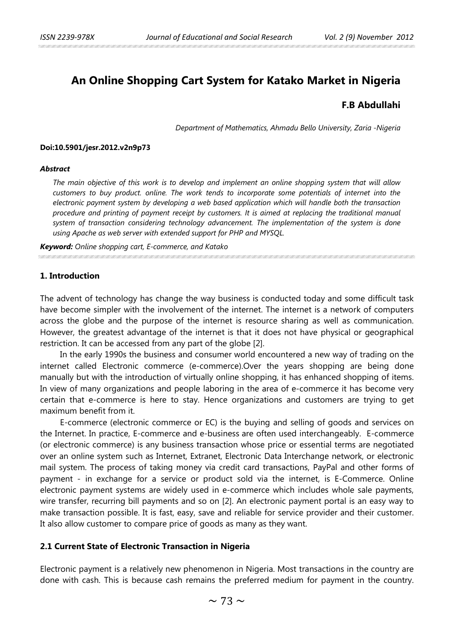# **An Online Shopping Cart System for Katako Market in Nigeria**

# **F.B Abdullahi**

*Department of Mathematics, Ahmadu Bello University, Zaria -Nigeria* 

#### **Doi:10.5901/jesr.2012.v2n9p73**

#### *Abstract*

*The main objective of this work is to develop and implement an online shopping system that will allow customers to buy product. online. The work tends to incorporate some potentials of internet into the electronic payment system by developing a web based application which will handle both the transaction procedure and printing of payment receipt by customers. It is aimed at replacing the traditional manual system of transaction considering technology advancement. The implementation of the system is done using Apache as web server with extended support for PHP and MYSQL.*

*Keyword: Online shopping cart, E-commerce, and Katako*

### **1. Introduction**

The advent of technology has change the way business is conducted today and some difficult task have become simpler with the involvement of the internet. The internet is a network of computers across the globe and the purpose of the internet is resource sharing as well as communication. However, the greatest advantage of the internet is that it does not have physical or geographical restriction. It can be accessed from any part of the globe [2].

In the early 1990s the business and consumer world encountered a new way of trading on the internet called Electronic commerce (e-commerce).Over the years shopping are being done manually but with the introduction of virtually online shopping, it has enhanced shopping of items. In view of many organizations and people laboring in the area of e-commerce it has become very certain that e-commerce is here to stay. Hence organizations and customers are trying to get maximum benefit from it.

E-commerce (electronic commerce or EC) is the buying and selling of goods and services on the Internet. In practice, E-commerce and e-business are often used interchangeably. E-commerce (or electronic commerce) is any business transaction whose price or essential terms are negotiated over an online system such as Internet, Extranet, Electronic Data Interchange network, or electronic mail system. The process of taking money via credit card transactions, PayPal and other forms of payment - in exchange for a service or product sold via the internet, is E-Commerce. Online electronic payment systems are widely used in e-commerce which includes whole sale payments, wire transfer, recurring bill payments and so on [2]. An electronic payment portal is an easy way to make transaction possible. It is fast, easy, save and reliable for service provider and their customer. It also allow customer to compare price of goods as many as they want.

### **2.1 Current State of Electronic Transaction in Nigeria**

Electronic payment is a relatively new phenomenon in Nigeria. Most transactions in the country are done with cash. This is because cash remains the preferred medium for payment in the country.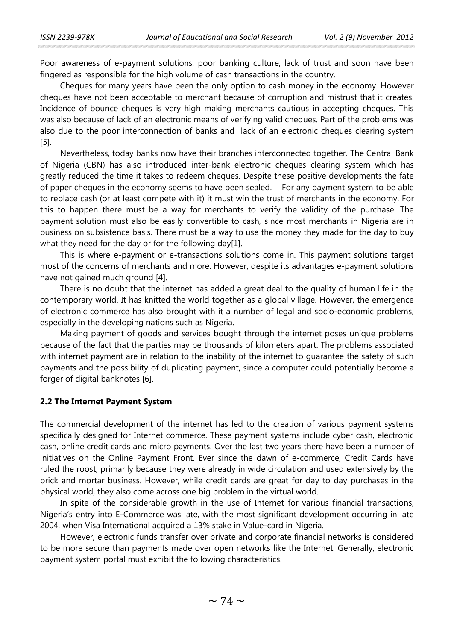Poor awareness of e-payment solutions, poor banking culture, lack of trust and soon have been fingered as responsible for the high volume of cash transactions in the country.

Cheques for many years have been the only option to cash money in the economy. However cheques have not been acceptable to merchant because of corruption and mistrust that it creates. Incidence of bounce cheques is very high making merchants cautious in accepting cheques. This was also because of lack of an electronic means of verifying valid cheques. Part of the problems was also due to the poor interconnection of banks and lack of an electronic cheques clearing system [5].

Nevertheless, today banks now have their branches interconnected together. The Central Bank of Nigeria (CBN) has also introduced inter-bank electronic cheques clearing system which has greatly reduced the time it takes to redeem cheques. Despite these positive developments the fate of paper cheques in the economy seems to have been sealed. For any payment system to be able to replace cash (or at least compete with it) it must win the trust of merchants in the economy. For this to happen there must be a way for merchants to verify the validity of the purchase. The payment solution must also be easily convertible to cash, since most merchants in Nigeria are in business on subsistence basis. There must be a way to use the money they made for the day to buy what they need for the day or for the following day[1].

This is where e-payment or e-transactions solutions come in. This payment solutions target most of the concerns of merchants and more. However, despite its advantages e-payment solutions have not gained much ground [4].

There is no doubt that the internet has added a great deal to the quality of human life in the contemporary world. It has knitted the world together as a global village. However, the emergence of electronic commerce has also brought with it a number of legal and socio-economic problems, especially in the developing nations such as Nigeria.

Making payment of goods and services bought through the internet poses unique problems because of the fact that the parties may be thousands of kilometers apart. The problems associated with internet payment are in relation to the inability of the internet to guarantee the safety of such payments and the possibility of duplicating payment, since a computer could potentially become a forger of digital banknotes [6].

### **2.2 The Internet Payment System**

The commercial development of the internet has led to the creation of various payment systems specifically designed for Internet commerce. These payment systems include cyber cash, electronic cash, online credit cards and micro payments. Over the last two years there have been a number of initiatives on the Online Payment Front. Ever since the dawn of e-commerce, Credit Cards have ruled the roost, primarily because they were already in wide circulation and used extensively by the brick and mortar business. However, while credit cards are great for day to day purchases in the physical world, they also come across one big problem in the virtual world.

In spite of the considerable growth in the use of Internet for various financial transactions, Nigeria's entry into E-Commerce was late, with the most significant development occurring in late 2004, when Visa International acquired a 13% stake in Value-card in Nigeria.

However, electronic funds transfer over private and corporate financial networks is considered to be more secure than payments made over open networks like the Internet. Generally, electronic payment system portal must exhibit the following characteristics.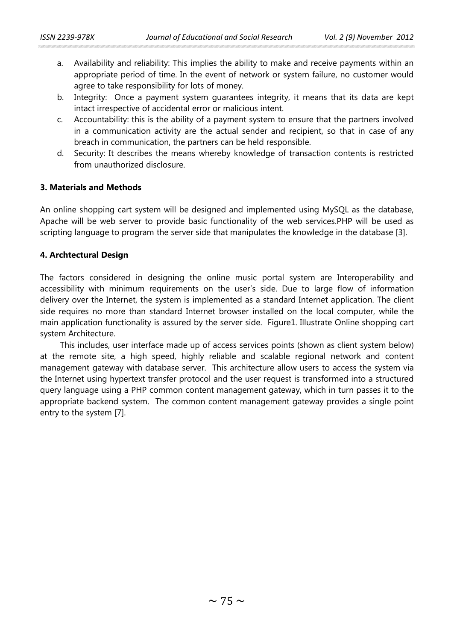- a. Availability and reliability: This implies the ability to make and receive payments within an appropriate period of time. In the event of network or system failure, no customer would agree to take responsibility for lots of money.
- b. Integrity: Once a payment system guarantees integrity, it means that its data are kept intact irrespective of accidental error or malicious intent.
- c. Accountability: this is the ability of a payment system to ensure that the partners involved in a communication activity are the actual sender and recipient, so that in case of any breach in communication, the partners can be held responsible.
- d. Security: It describes the means whereby knowledge of transaction contents is restricted from unauthorized disclosure.

# **3. Materials and Methods**

An online shopping cart system will be designed and implemented using MySQL as the database, Apache will be web server to provide basic functionality of the web services.PHP will be used as scripting language to program the server side that manipulates the knowledge in the database [3].

## **4. Archtectural Design**

The factors considered in designing the online music portal system are Interoperability and accessibility with minimum requirements on the user's side. Due to large flow of information delivery over the Internet, the system is implemented as a standard Internet application. The client side requires no more than standard Internet browser installed on the local computer, while the main application functionality is assured by the server side. Figure1. Illustrate Online shopping cart system Architecture.

This includes, user interface made up of access services points (shown as client system below) at the remote site, a high speed, highly reliable and scalable regional network and content management gateway with database server. This architecture allow users to access the system via the Internet using hypertext transfer protocol and the user request is transformed into a structured query language using a PHP common content management gateway, which in turn passes it to the appropriate backend system. The common content management gateway provides a single point entry to the system [7].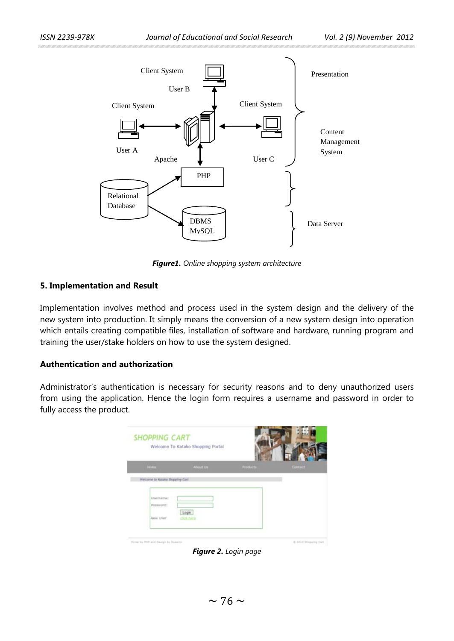

*Figure1. Online shopping system architecture*

### **5. Implementation and Result**

Implementation involves method and process used in the system design and the delivery of the new system into production. It simply means the conversion of a new system design into operation which entails creating compatible files, installation of software and hardware, running program and training the user/stake holders on how to use the system designed.

## **Authentication and authorization**

Administrator's authentication is necessary for security reasons and to deny unauthorized users from using the application. Hence the login form requires a username and password in order to fully access the product.



*Figure 2. Login page*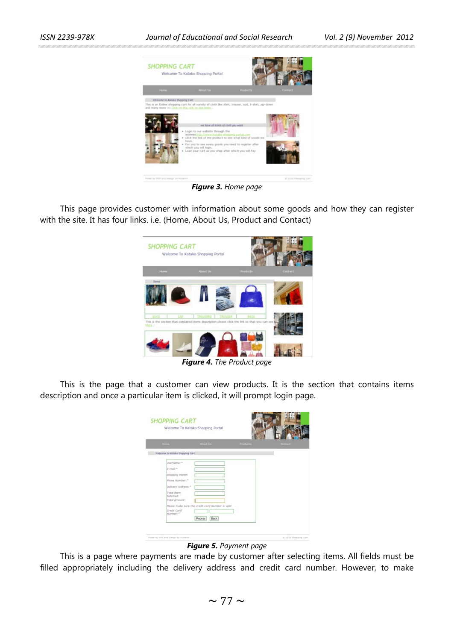**SURFACE AND ARRANGEMENT CONTINUES OF A SECOND AND ARRANGEMENT** 

#### *ISSN 2239-978X Journal of Educational and Social Research Vol. 2 (9) November 2012*



*Figure 3. Home page*

This page provides customer with information about some goods and how they can register with the site. It has four links. i.e. (Home, About Us, Product and Contact)



*Figure 4. The Product page*

This is the page that a customer can view products. It is the section that contains items description and once a particular item is clicked, it will prompt login page.

| <b>Hilter</b>                    | About Us                                        | <b>Podute</b> | Contact |
|----------------------------------|-------------------------------------------------|---------------|---------|
| Welcome to Autoke Shopping Cart. |                                                 |               |         |
|                                  |                                                 |               |         |
| Username:"                       |                                                 |               |         |
| $F$ -trust =                     |                                                 |               |         |
| Shopping Month                   |                                                 |               |         |
| Phone Number:"                   |                                                 |               |         |
| Delivery Address:"               |                                                 |               |         |
| <b>Total Item</b>                |                                                 |               |         |
| Selected:<br>Total Amount:       |                                                 |               |         |
|                                  | Rease male sure the credit card Number is valid |               |         |
| Credit Card                      |                                                 |               |         |
| Number:"                         |                                                 |               |         |
|                                  | PIECOSS  <br>Back                               |               |         |

*Figure 5. Payment page*

This is a page where payments are made by customer after selecting items. All fields must be filled appropriately including the delivery address and credit card number. However, to make